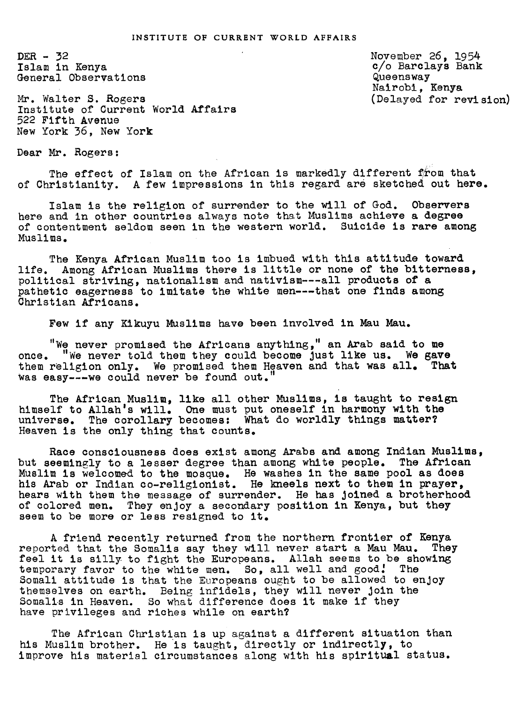$DER - 32$ Islam in Kenya General Observations

Mr. Walter S. Rogers Institute of Current World Affairs 522 Fifth Avenue New York 36, New York

November 26, 1954<br>c/o Barclays Bank Queensway Nairohi, Kenya (Delayed for revision)

Dear Mr. Rogers:

The effect of Islam on the African is markedly different from that of Christianity. A few impressions in this regard are sketched out here.

Islam is the religion of surrender to the will of God. Observers here and in other countries always note that Muslims achieve a degree of contentment seldom seen in the western world. Suicide is rare among Muslims.

The Kenya African Muslim too is imbued with this attitude toward life. Among African Muslims there is little or none of the bitterness, political striving, nationalism and nativism---all products of a pathetic eagerness to imitate the white men---that one finds among Christian Africans.

Few if any Kikuyu Muslims have been involved in Mau Mau.

"We never promised the Africans anything," an Arab said to me once. "We never told them they could become Just like us. We gave them religion only. We promised them Heaven and that was all. That was easy---we could never be found out.

The African Muslim, like all other Muslims, is taught to resign himself to Allah's will. One must put oneself in harmony with the universe. The corollary becomes: What do worldly things mater? Heaven is the only thing that counts.

Race consciousness does exist among Arabs and among Indian Muslims, but seemingly to a lesser degree than among white people. The African Muslim is welcomed to the mosque. He washes in the same pool as does his Arab or Indian co-religionist. He kneels next to them in prayer, hears with them the message of surrender. He has joined a brotherhood of colored men. They enjoy a secondary position in Kenya, but they seem to be more or less resigned to it.

A friend recently returned from the northern frontier of Kenya reported that the Somalis say they Will never start a Mau Mau. They feel it is silly to fight the Europeans. Allah seems to be showing temporary favor to the white men. So, all well and good! The Somali attitude is that the Europeans ought to be allowed to enjoy themselves on earth. Being infidels, they will never Join the Somalis in Heaven. So what difference does it make if they have privileges and riches while on earth?

The African Christian is up against a different situation than his Muslim brother. He is taught, directly or indirectly, to improve his material circumstances along with his spiritual status.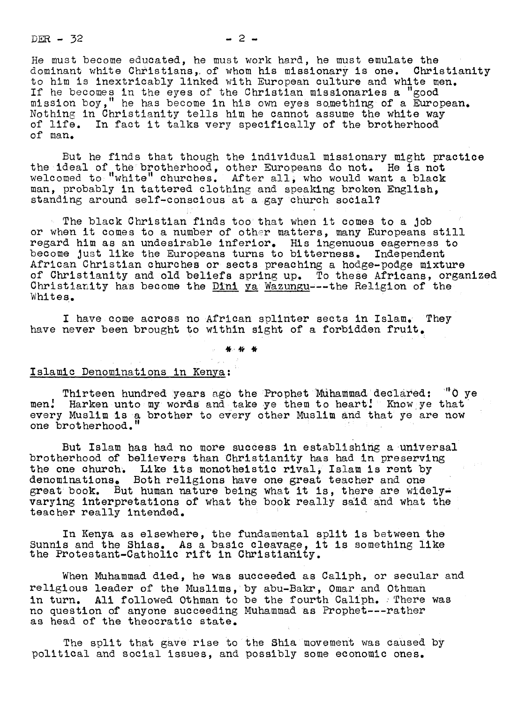$DER - 32$  2-

He must become educated, he must work hard, he must emulate the dominant white Christians, of whom his missionary is one.  $\,$  Christianity  $\,$ to him is inextricably linked with European culture and white men. If he becomes in the eyes of the Christian missionaries a "good mission boy," he has become in his own eyes something of a European. Nothing in Christianity tells him he cannot assume the white way of life. In fact it talks very specifically of the brotherhood of man.

But he finds that though the individual missionary might practice the ideal of the brotherhood, other Europeans do not. He is not welcomed to ''white'' churches. After all; who would want a black man, probably in tattered clothing and speaking broken English, standing around self-conscious at a gay church social?

The black Christian finds too that when it comes to a Job or when it comes to a number of other matters, many Europeans still regard him as an undesirable inferior. His ingenuous eagerness to become just like the Europeans turns to bitterness. Independent African Christian churches or sects preaching a hodge-podge mixture of Christianity and old beliefs spring up. To these Africans, organized Christianity has become the Dini ya Wazungu---the Religion of the Whites.

I have come across no African splinter sects in Islam. They have never been brought to within sight of a forbidden fruit.

\* \* \*

Islamic Denominations in Kenya

Thirteen hundred years ago the Prophet Muhammad declared: "O ye men.' Harken unto my words and take ye them to heart! Know ye that every Muslim Is a brother to every Other Muslim and that ye are now one brotherhood.

But Islam has had no more success in establishing a universal brotherhood of believers than Christianity has had in preserving the one church. Like its monotheistic rival, Islam is rent by denominations<u>.</u> Both religions have one great teacher and one great book. But human nature being what it is, there are widelyvarying interpretations of what the book really said and what the teacher really intended.

In Kenya as elsewhere, the fundamental split is between the Sunnis and the Shias. As a basic cleavage, it is something like the Protestant-Catholic rift in Christianity.

When Muhammad died, he was succeeded as Caliph, or secular and religious leader of the Muslims, by abu-Bakr, Omar and Othman in turn. Ali followed Othman to be the fourth Caliph. There was uo question of anyone succeeding Muhammad as Prophet---rather as head of the theocratic state.

The split that gave rise to the Shia movement was caused by political and Social issues, and possibly some economic ones.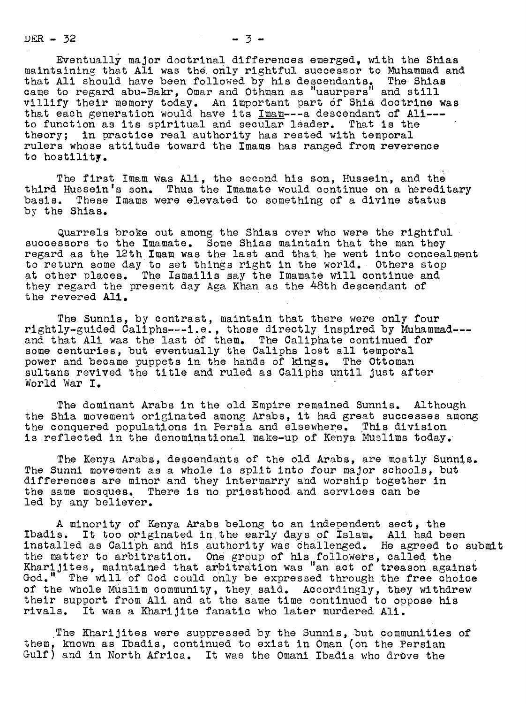$DER - 32$   $-3 - 3$ 

Eventually major doctrinal differences emerged, with the Shias maintaining that Ali was the only rightful successor to Muhammad and that Ali should have been followed by his descendants. The Shias came to regard abu-Bakr, Omar and Othman as "usurpers" and still villify their memory today. Au important part 6f Shia doctrine was that each generation would have its Imam---a descendant of All-- to function as its spiritual and secular leader. That is the theory; in practice real authority has rested with temporal rulers whose attitude toward the Imams has ranged from reverence to hostility.

The first Imam was Ali, the second his son, Hussein, and the third Hussein's son. Thus the Imamate would continue on a hereditary basis. These Imams were elevated to something of a divine status by the Shias.

Quarrels broke out among the Shlas over who were the rightful successors to the Imamate. Some Shias maintain that the man they regard as the 12th Imam was the last and that he went into concealment to return some day to set things right in the world. Others stop at other places. The Ismailis say the Imamate will continue and they regard the present day Aga Khan as the 48th descendant of the revered All.

The Sunnis, by contrast, maintain that there were only four rightly guided Caliphs---i.e., those directly inspired by Muhammad-- and that Ali was the last of them. The Caliphate continued for some centuries, but eventually the Caliphs lost all temporal power and became puppets in the hands of kings. The Ottoman sultans revived the title and ruled as Caliphs until just after World War I.

The dominant Arabs in the old Empire remained Sunnis. Although the Shia movement originated among Arabs, it had great successes among the conquered populations in Persia and elsewhere. This division is reflected in the denominational make-up of Kenya Muslims today.  $\,$ 

The Kenya Arabs, descendants of the old Arabs, are mostly Sunnis. The Sunni movement as a whole is split into four major schools, but differences are minor and they intermarry and worship together in the same mosques. There is no priesthood and services can be led by any believer.

A minority of Kenya Arabs belong to an independent sect, the Ibadis. It too originated in.the early days of Islam. All had been installed as Caliph and his authority was challenged. He agreed to submit the matter to arbitration, one group of his followers, called the Kharijites, maintained that arbitration was "an act of treason against God." The will of God could only be expressed through the free choice of the whole Muslim community, they said. Accordingly, they withdrew their support from Ali and at the same time continued to oppose his rivals. It was a Kharijite fanatic who later murdered Ali.

The Kharijites were suppressed by the Sunnis, but communities of them, known as Ibadis, continued to exist in Oman (on the Persian Gulf) and in North Africa. It was the Omani Ibadis who drove the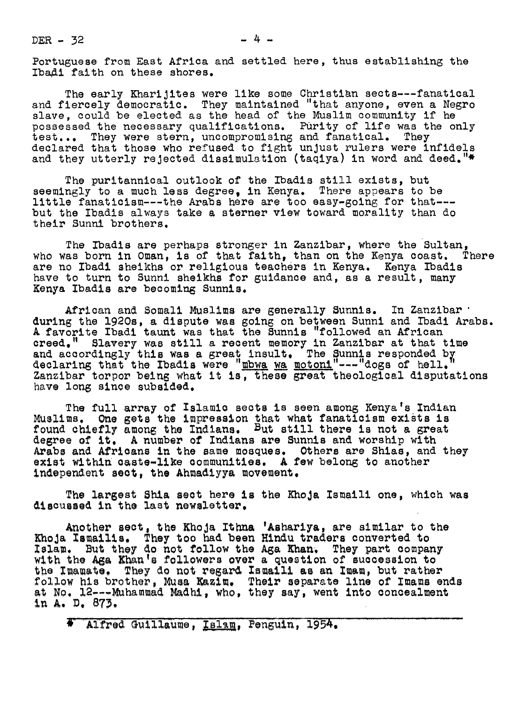$DER - 32$   $- 4 -$ 

Portuguese from East Africa and settled here, thus establishing the Ibadi faith on these shores.

The early KhariJites were like some Christian sects---fanatical and fiercely democratic. They maintained "that anyone, even a Negro slave, could be elected as the head of the Muslim community if he possessed the necessary qualifications. Purity of life was the only test... They were stern, uncompromising and fanatical. They declared that those who refused to fight unjust rulers were infidels and they utterly rejected dissimulation (taqiya) in word and deed." $*$ 

The puritannical outlook of the Ibadis still exists, but seemingly to a much less degree, in Kenya. There appears to be little fanaticism---the Arabs here are too easy-going for that--but the Ibadis always take a sterner view toward morality than do their Sunni brothers.

The Ibadis are perhaps stronger in Zanzibar, where the Sultan,<br>as born in Oman. is of that faith. than on the Kenva coast. There who was born in Oman, is of that faith, than on the Kenya coast. are no Ibadi sheikhs or religious teachers in Kenya. Kenya Ibadis<br>have to turn to Sunni sheikhs for guidance and, as a result, many Kenya Ibadis are becoming Sunnis.

African and Somali Muslims are generally Sunnis. In Zanzibar . during the 1920s, a dispute was going on between Sunni and Ibadi Arabs. A favorite Ibadi taunt was that the Sunnis "followed an African creed." Slavery was still a recent memory in Zauzibar at that time and accordingly this was a great insult. The Sunnis responded by<br>declaring that the Ibadis were "mbwa wa motoni"---"dogs of hell."<br>Isuather terms being that the "mbwa wa motoni"----dogs of hell." Zanzibar torpor being what it is, these great theological disputations have long since subsided.

The full array of Islamic sects is seen among Kenya's Indian Muslims. One gets the impression that what fanaticism exists is found chiefly among the Indians. But still there is not a great degree of it. A number of Indians are Sunnis and worship with Arabs and Africans in the same mosques. Others are Shias, and they exist within caste-like communities. A few belong to another independent sect, the Ahmadiyya movement.

The largest Shia sect here is the Khoja Ismaili one, which was discussed in the last newsletter.

Another sect, the Khoja Ithma 'Ashariya, are similar to the Another sect, the Khoja Ithna 'Ashariya, are similar to the Khoja Ismailis. They too had been Hindu traders converted to Islam. But they do not follow the Aga Khan. They part company with the Aga Khan's followers over a qu the Imamate. They do not regard Ismaili as an Imam, but rather the luamate. They do not regard is all is an luam, but rather<br>follow his brother, Musa Kazim. Their separate line of Imams ends<br>at No. 12---Muhammad Madhi, who, they say, went into concealment in A. D. 873.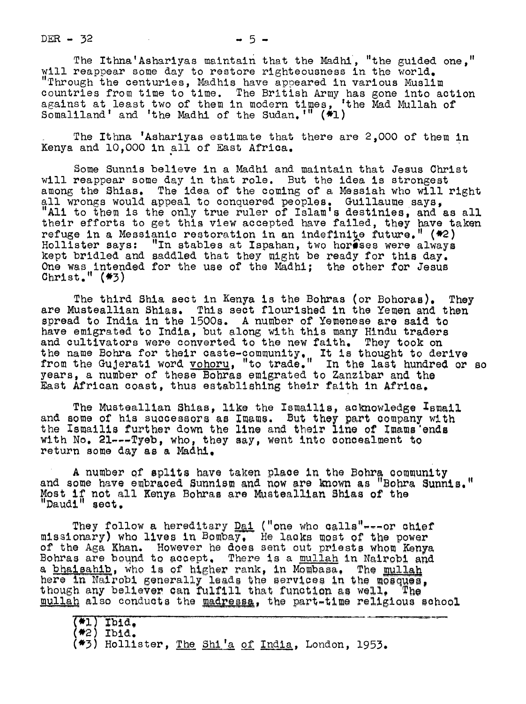DER  $-32$   $-5$   $-5$ 

The Ithna'Ashariyas maintain that the Madhl, "the guided one," will reappear some day to restore righteousness in the world. "Through the centuries, Madhis have appeared in various Muslim countries from time to time. The British Army has gone into action against at least two of them in modern times, 'the Mad Mullah of Somaliland' and 'the Madhl of the Sudan.'" (\*l)

The Ithna 'Ashariyas estimate that there are 2,000 of them in Kenya and 10.000 in all of East Africa.

Some Sunnis believe in a Madhi and maintain that Jesus Christ will reappear some day in that role. But the idea is strongest among the Shias. The idea of the coming of a Messiah who will right all wrongs would appeal to conquered peoples. Guillaume says,<br>"Ali to them is the only true ruler of Islam's destinies, and as all their efforts to get this view accepted have failed, they have taken refuge in a Messianic restoration in an indefinite future." (\*2) Hollister says: "In stables at Ispahan, two horeses were always kept bridled and saddled that they might be ready for this day.<br>One was intended for the use of the Madhi; the other for Jesus  $Christ.$   $"$  ( $*3$ )

The third Shia sect in Kenya is the Bohras (or Bohoras). They are Musteallian Shias. This sect flourished in the Yemen and then spread to India in the 1500s. A number of Yemenese are said to have emigrated to India, but along with this many Hindu traders and cultivators were converted to the new faith. They took on the name Bohra for their caste-community. It is thought to derive from the Gujerati word <u>vohoru</u>, "to trade." In the last hundred or so<br>years, a number of these Bohras emigrated to Zanzibar and the East African coast, thus establishing their faith in Africa.

The Musteallian Shias, like the Ismailis, acknowledge Ismail and some of his successors as Imams. But they part company with the Ismailis further down the line and their line of Imams'ends with  $No. 21---Typeb$ , who, they say, went into concealment to return some day as a Madhi.

A number of splits have taken place in the Bohra community and some have embraced Sunnism and now are known as "Bohra Sunnis." Most if not all Kenya Bohras are Musteallian Shias of the "Daudi" sect.

They follow a hereditary <u>Dai</u> ("one who calls"---or chief"<br>"Iney follow a hereditary <u>Dai</u> ("one who calls"---or chief"<br>"Missionary) who lives in Bombay. He lacks most of the power of the Aga Khan. However he does sent out priests whom Kenya<br>Bohras are bound to accept. There is a mullah in Nairobi and<br>a bhaisabib, who is of bigher rank, in Mombasa. The mullah bonras are bound to accept. There is a <u>mullan</u> in Ma<br>a bhaisahib, who is of higher rank, in Mombasa. The<br>here in Nairobi generally leads the services in the<br>though any believer can fulfill that function as wel<br>mullan also here in Nairobi generally leads the services in the mosques, though any believer can fulfill that function as well. The mullah also conducts the madressa, the part-time religious school

(**\***2) Ibid.

 $(*3)$  Hollister, The Shi'a of India, London, 1953.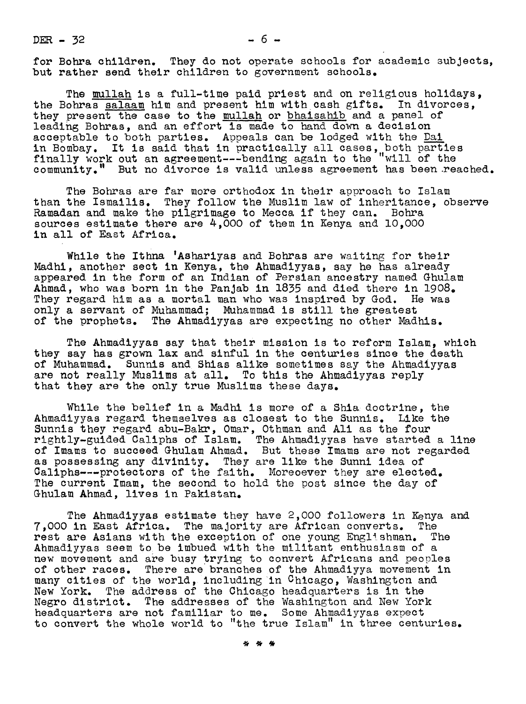DER  $-32$ 

 $-6 -$ 

for Bohra children. They do not operate schools for academic subjects, but rather send their children to government schools.

The mullah is a full-time paid priest and on religious holidays, the Bohras salaam him and present him with cash gifts. In divorces, they present the case to the mullah or bhaisahib and a panel of leading Bohras, and an effort is made to hand down a decision acceptable to both parties. Appeals can be lodged with the Dai in Bombay. It is said that in practically all cases, both parties finally work out an agreement---bending again to the "will of the community." But no divorce is valid unless agreement has been reached.

The Bohras are far more orthodox in their approach to Islam than the Ismailis. They follow the Muslim law of inheritance, observe Ramadan and make the pilgrimage to Mecca if they can. Bohra sources estimate there are 4,000 of them in Kenya and 10.000 in all of East Africa.

While the Ithna 'Ashariyas and Bohras are waiting for their Madhi, another sect in Kenya, the Ahmadiyyas, say he has already appeared in the form of an Indian of Persian ancestry named Ghulam Ahmad, who was born in the Panjab in 1835 and died there in 1908. They regard him as a mortal man who was inspired by God. He was only a servant of Muhammad; Muhammad Is still the greatest of the prophets. The Ahmadiyyas are expecting no other Madhis.

The Ahmadiyyas say that their mission is to reform Islam, which they say has grown lax and sinful in the centuries since the death of Muhammad. Sunnis and Shias alike sometimes say the Ahmadiyyas are not really Muslims at all. To this the Ahmadiyyas reply that they are the only true Muslims these days.

While the belief in a Madhi is more of a Shia doctrine, the Ahmadiyyas regard themselves as closest to the Sunnis. Like the Sunnis they regard abu-Bakr, Omar, Othman and Ali as the four rightly-guided Caliphs of Islam. The Ahmadiyyas have started a line of Imams to succeed Ghulam Ahmad. But these Imams are not regarded as possessing any divinity. They are like the Sunni idea of Caliphs---protectors of the faith. Moreoever they are elected. The current Imam, the second to hold the post since the day of Ghulam Ahmad, lives in Pakistan.

The Ahmadiyyas estimate they have 2,000 followers in Kenya and<br>In East Africa. The majority are African converts. The 7,000 in East Africa. The majority are African converts. The rest are Asians with the exception of one young Englishman. Ahmadiyyas seem to be imbued with the militant enthusiasm of a new movement and are busy trying to convert Africans and peoples of other races. There are branches of the Ahmadiyya movement in many cities of the world, including in Chicago, Washington and New York. The address of the Chicago headquarters is in the Negro district. The addresses of the Washington and New York headquarters are not familiar to me. Some Ahmadiyyas expect to convert the whole world to "the true Islam" in three centuries.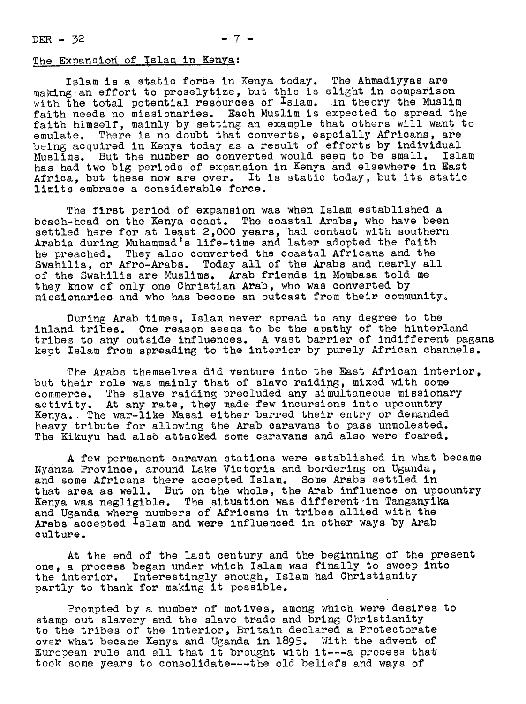$DER - 32$   $- 7 -$ 

## The Expansion of Islam in Kenya:

Islam is a static force in Kenya today. The Ahmadiyyas are making an effort to proselytize, but this is slight in comparison with the total potential resources of Islam. .In theory the Muslim faith needs no missionaries. Each Muslim is expected to spread the faith himself, mainly by setting an example that others will want to emulate. There is no doubt that converts, espcially Africans, are being acquired in Kenya today as a result of efforts by individual Muslims. But the number so converted would seem to be small. Islam has had two big periods of expansion in Kenya and elsewhere in East Africa, but these now are over. It is static today, but its static limits embrace a considerable force.

The first period of expansion was when Islam established a beach-head on the Kenya coast. The coastal Arabs, who have been settled here for at least 2,000 years, had contact with southern Arabia during Muhammad's life-time and later adopted the faith he preached. They also converted the coastal Africans and the Swahilis, or Afro-Arabs. Today all of the Arabs and nearly all of the Swahilis are Muslims. Arab friends in Mombasa told me they know of only one Christian Arab, who was converted by missionaries and who has become an outcast from their community.

During Arab times, Islam never spread to any degree to the inland tribes. One reason seems to be the apathy of the hinterland tribes to any outside influences. A vast barrier of indifferent pagans kept Islam from spreading to the interior by purely African channels.

The Arabs themselves did venture into the East African interior, but their role was mainly that of slave raiding, mixed with some commerce. The slave raiding precluded any simultaneous missionary activity. At any rate, they made few incursions into upcountry Kenya. The war-like Masai either barred their entry or demanded heavy tribute for allowing the Arab caravans to pass unmolested. The Kikuyu had also attacked some caravans and also were feared.

A few permanent caravan stations were established in what became Nyanza Province, around Lake Victoria and bordering ou Uganda, and some Africans there accepted Islam. Some Arabs settled in that area as well. But on the whole, the Arab influence on upcountry Kenya was negligible. The situation was different in Tanganyika and Uganda where numbers of Africans in tribes allied with the Arabs accepted Islam and were influenced in other ways by Arab culture.

At the end of the last century and the beginning of the present one, a process began under which Islam was finally to sweep into the interior. Interestingly enough, Islam had Christianity partly to thank for making it possible.

Prompted by a number of motives, among which were desires to stamp out slavery and the slave trade and bring Christianity to the tribes of the interior, Britain declared a Protectorate over what became Kenya and Uganda in 1895. With the advent of European rule and all that it brought with it---a process that took some years to consolidate---the old beliefs and ways of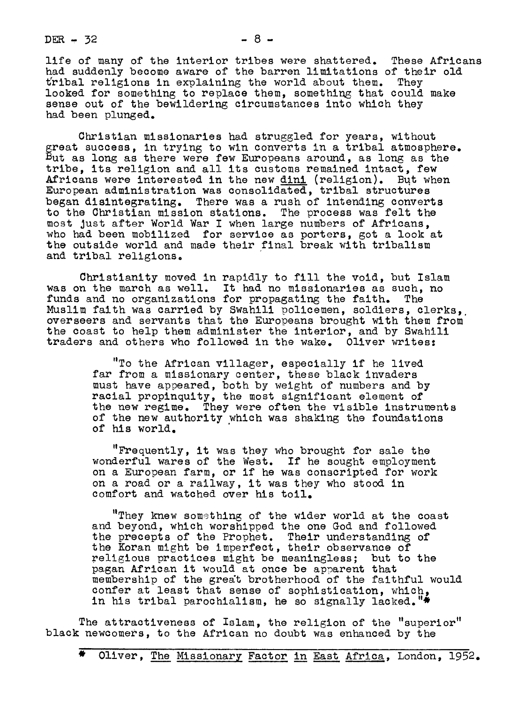$DER - 32$   $- 8 -$ 

life of many of the interior tribes were shattered. These Africans had suddenly become aware of the barren limitations of their old tribal religions in explaining the world about them. They looked for something to replace them, something that could make sense out of the bewildering circumstances into which they had been plunged.

Christian missionaries had struggled for years, without reat success, in trying to win converts in a tribal atmosphere. ut as long as there were few Europeans around, as long as the tribe, its religion and all its customs remained intact, few Africans were interested in the new dini (religion). But when European administration was consolidated, tribal structures began disintegrating. There was a rush of intending converts to the Christian mission stations. The process was felt the most just after World War I when large numbers of Africans, who had been mobilized for service as porters, got a look at the outside world and made their final break with tribalism and tribal religions.

Christianity moved in rapidly to fill the void, but Islam was on the march as well. It had no missionaries as such, no<br>funds and no organizations for propagating the faith. The funds and no organizations for propagating the faith. Muslim faith was carried by Swahili policemen, soldiers, clerks, overseers and servants that the Europeans brought with them from the coast to help them administer the interior, and by Swahili traders and others who followed in the wake. Oliver writes:

> "To the African villager, especially if he lived far from a missionary center, these black invaders must have apoeared, both by weight of numbers and by racial propinquity, the most significant element of the new regime. They were often the visible instruments of the new authority which was shaking the foundations of his world.

"Frequently, it was they who brought for sale the wonderful wares of the West. If he sought employment on a European farm, or if he was conscripted for work on a road or a railway, it was they who stood in comfort and watched over his toil.

"They knew something of the wider world at the coast and beyond, which worshipped the one God and followed the precepts of the Prophet. Their understanding of the Koran might be imperfect, their observance of religious practices might be meaningless; but to the pagan African it would at once be apparent that membership of the grea't brotherhood of the faithful would confer at least that sense of sophistication, which, in his tribal parochialism, he so signally lacked.

The attractiveness of Islam, the religion of the "superior" black newcomers, to the African no doubt was enhauced by the

Oliver, The Missionary Factor in East Africa, London, 1952.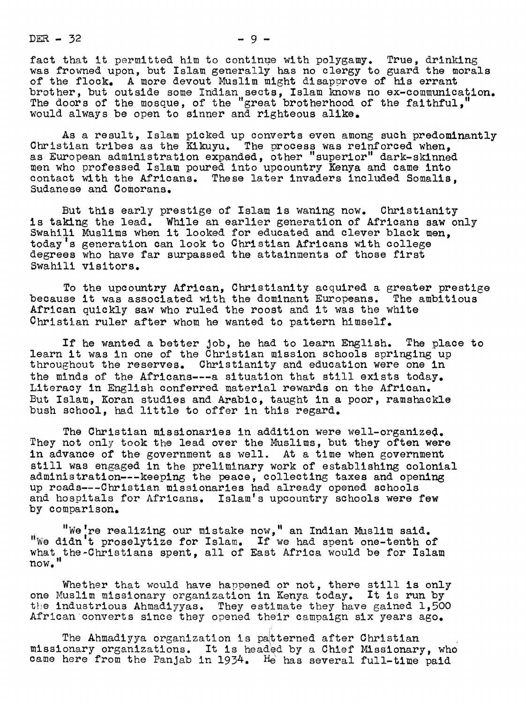$DER - 32$   $-9-$ 

fact that it permitted him to continue with polygamy. True, drinking was frowned upon, but Islam generally has no clergy to guard the morals of the flock. A more devout Muslim might disapprove of his errant brother, but outside some Indian sects, Islam knows no ex-communication. The doors of the mosque, of the "great brotherhood of the faithful,"

would always be open to sinner and righteous alike.

As a result, Islam picked up converts even among such predominantly Christian tribes as the Kikuyu. The process was reinforced when, as European administration expanded, other "superior" dark-skinned men who professed Islam poured into upcountry Kenya and came into contact with the Africans. These later invaders included Somalis, Sudanese and Comorans.

But this early prestige of Islam is waning now. Christianity is taking the lead. While an earlier generation of Africans saw only Swahili Muslims when it looked for educated and clever black men. todaY's generation can look to Christiau Africans with college degrees who have far surpassed the attainments of those first Swahili visitors.

To the upcountry African, Christianity acquired a greater prestige because it was associated with the dominant Europeans. The ambitious African quickly saw who ruled the roost and it was the white Christian ruler after whom he wanted to pattern himself.

If he wanted a better Job, he had to learu English. The place to learn it was in one of the Christian mission schools springing up throughout the reserves. Christianity and education were one in the minds of the Africans---a situation that still exists today. Literacy in English couferred material rewards on the African. But Islam, Koran studies and Arabic, taught in a poor, ramshackle bush school, had little to offer in this regard.

The Christian missionaries in addition were well-organized. They not only took the lead over the Muslims, but they often were in advance of the government as well. At a time when government still was engaged in the preliminary work of establishing colonial administration---keeping the peace, collecting taxes and opening up roads---Christian missionaries had already opened schools and hospitals for Africans. Islam's upcountry schools were few by comparison.

"We're realizing our mistake now," an Indian Muslim said. "We didn't proselytize for Islam. If we had spent one-tenth of what the-Christians spent, all of East Africa would be for Islam<br>now."

Whether that would have happened or not, there still is only one Muslim missionary orgauizatiou iu Keuya today. It is run by the industrious Ahmadiyyas. They estimate they have gained 1,500 African converts since they opened their campaign six years ago.

The Ahmadiyya organization is paitterued after Christian missionary orgauizatious. It is headed by a Chief Missionary, who came here from the Panjab in 1934. He has several full-time paid